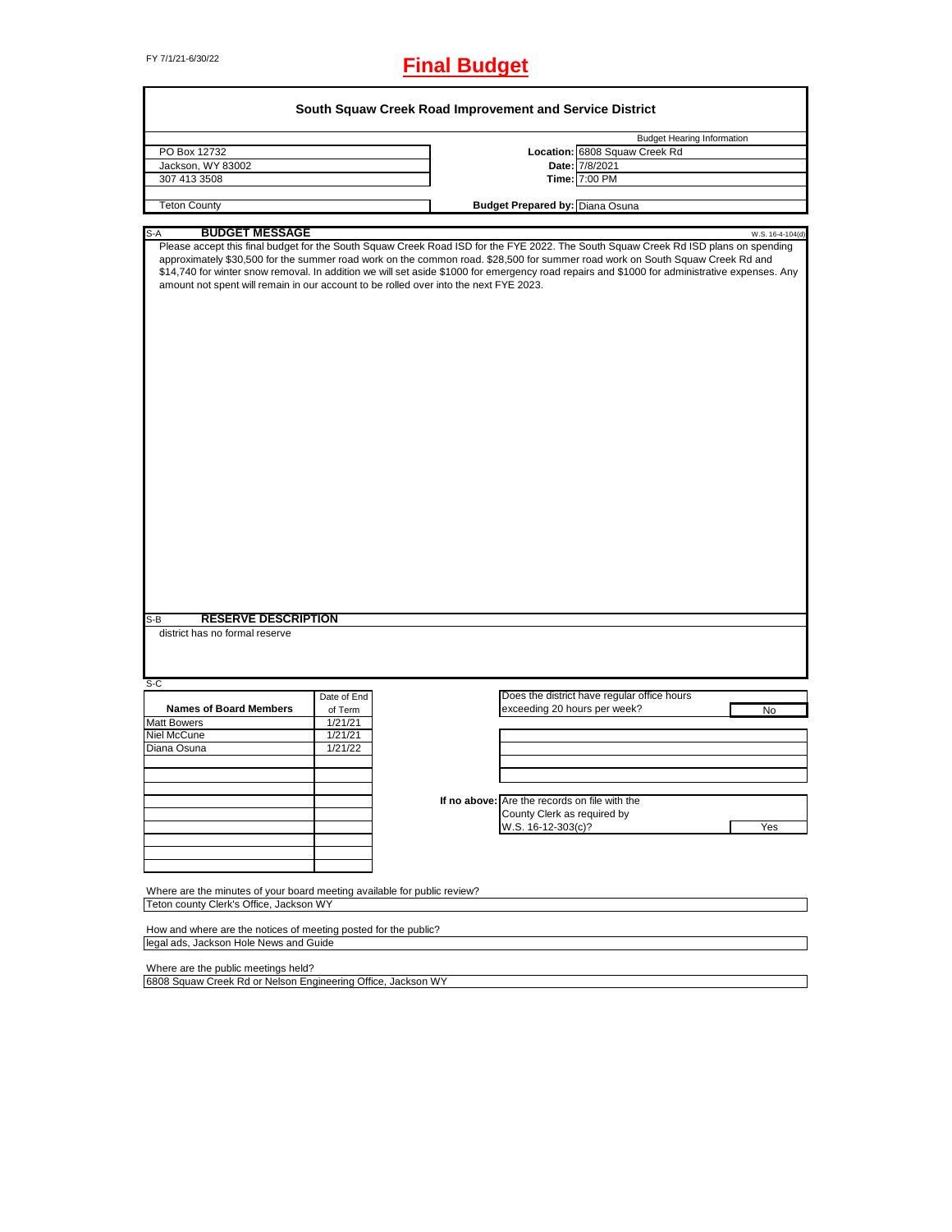# FY 7/1/21-6/30/22 **Final Budget**

|                                                                                                                     |             | South Squaw Creek Road Improvement and Service District                                                                                                                                                                                                                                                                                                                                                               |                                   |
|---------------------------------------------------------------------------------------------------------------------|-------------|-----------------------------------------------------------------------------------------------------------------------------------------------------------------------------------------------------------------------------------------------------------------------------------------------------------------------------------------------------------------------------------------------------------------------|-----------------------------------|
|                                                                                                                     |             |                                                                                                                                                                                                                                                                                                                                                                                                                       | <b>Budget Hearing Information</b> |
| PO Box 12732                                                                                                        |             | Location: 6808 Squaw Creek Rd                                                                                                                                                                                                                                                                                                                                                                                         |                                   |
| Jackson, WY 83002                                                                                                   |             | Date: 7/8/2021                                                                                                                                                                                                                                                                                                                                                                                                        |                                   |
| 307 413 3508                                                                                                        |             | Time: 7:00 PM                                                                                                                                                                                                                                                                                                                                                                                                         |                                   |
| <b>Teton County</b>                                                                                                 |             | <b>Budget Prepared by: Diana Osuna</b>                                                                                                                                                                                                                                                                                                                                                                                |                                   |
| <b>BUDGET MESSAGE</b><br>S-A                                                                                        |             |                                                                                                                                                                                                                                                                                                                                                                                                                       | W.S. 16-4-104(d)                  |
| amount not spent will remain in our account to be rolled over into the next FYE 2023.                               |             | Please accept this final budget for the South Squaw Creek Road ISD for the FYE 2022. The South Squaw Creek Rd ISD plans on spending<br>approximately \$30,500 for the summer road work on the common road. \$28,500 for summer road work on South Squaw Creek Rd and<br>\$14,740 for winter snow removal. In addition we will set aside \$1000 for emergency road repairs and \$1000 for administrative expenses. Any |                                   |
|                                                                                                                     |             |                                                                                                                                                                                                                                                                                                                                                                                                                       |                                   |
| <b>RESERVE DESCRIPTION</b><br>$S-B$                                                                                 |             |                                                                                                                                                                                                                                                                                                                                                                                                                       |                                   |
| district has no formal reserve                                                                                      |             |                                                                                                                                                                                                                                                                                                                                                                                                                       |                                   |
| S-C                                                                                                                 |             |                                                                                                                                                                                                                                                                                                                                                                                                                       |                                   |
|                                                                                                                     | Date of End | Does the district have regular office hours                                                                                                                                                                                                                                                                                                                                                                           |                                   |
| <b>Names of Board Members</b>                                                                                       | of Term     | exceeding 20 hours per week?                                                                                                                                                                                                                                                                                                                                                                                          | No                                |
| <b>Matt Bowers</b>                                                                                                  | 1/21/21     |                                                                                                                                                                                                                                                                                                                                                                                                                       |                                   |
| Niel McCune                                                                                                         | 1/21/21     |                                                                                                                                                                                                                                                                                                                                                                                                                       |                                   |
| Diana Osuna                                                                                                         | 1/21/22     |                                                                                                                                                                                                                                                                                                                                                                                                                       |                                   |
|                                                                                                                     |             |                                                                                                                                                                                                                                                                                                                                                                                                                       |                                   |
|                                                                                                                     |             |                                                                                                                                                                                                                                                                                                                                                                                                                       |                                   |
|                                                                                                                     |             |                                                                                                                                                                                                                                                                                                                                                                                                                       |                                   |
|                                                                                                                     |             | If no above: Are the records on file with the                                                                                                                                                                                                                                                                                                                                                                         |                                   |
|                                                                                                                     |             | County Clerk as required by                                                                                                                                                                                                                                                                                                                                                                                           |                                   |
|                                                                                                                     |             | W.S. 16-12-303(c)?                                                                                                                                                                                                                                                                                                                                                                                                    | Yes                               |
|                                                                                                                     |             |                                                                                                                                                                                                                                                                                                                                                                                                                       |                                   |
|                                                                                                                     |             |                                                                                                                                                                                                                                                                                                                                                                                                                       |                                   |
|                                                                                                                     |             |                                                                                                                                                                                                                                                                                                                                                                                                                       |                                   |
| Where are the minutes of your board meeting available for public review?<br>Teton county Clerk's Office, Jackson WY |             |                                                                                                                                                                                                                                                                                                                                                                                                                       |                                   |
|                                                                                                                     |             |                                                                                                                                                                                                                                                                                                                                                                                                                       |                                   |
| How and where are the notices of meeting posted for the public?                                                     |             |                                                                                                                                                                                                                                                                                                                                                                                                                       |                                   |
| legal ads, Jackson Hole News and Guide                                                                              |             |                                                                                                                                                                                                                                                                                                                                                                                                                       |                                   |
| Where are the public meetings held?                                                                                 |             |                                                                                                                                                                                                                                                                                                                                                                                                                       |                                   |
|                                                                                                                     |             |                                                                                                                                                                                                                                                                                                                                                                                                                       |                                   |
| 6808 Squaw Creek Rd or Nelson Engineering Office, Jackson WY                                                        |             |                                                                                                                                                                                                                                                                                                                                                                                                                       |                                   |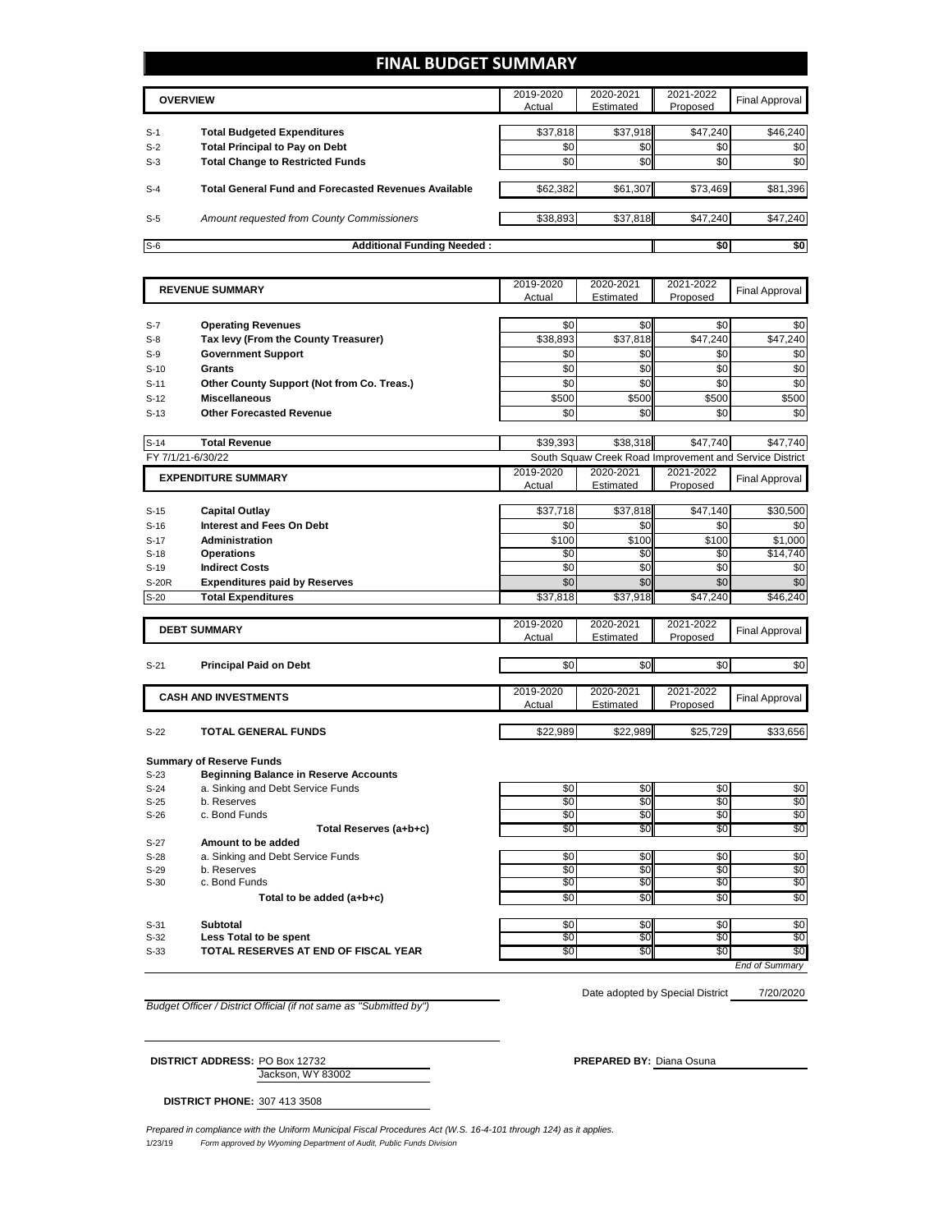### **FINAL BUDGET SUMMARY**

|       | <b>OVERVIEW</b>                                             | 2019-2020<br>Actual | 2020-2021<br>Estimated | 2021-2022<br>Proposed | Final Approval |
|-------|-------------------------------------------------------------|---------------------|------------------------|-----------------------|----------------|
| $S-1$ | <b>Total Budgeted Expenditures</b>                          | \$37,818            | \$37,918               | \$47,240              | \$46,240       |
| $S-2$ | <b>Total Principal to Pay on Debt</b>                       | \$0                 | \$0                    | \$0                   | \$0            |
| $S-3$ | <b>Total Change to Restricted Funds</b>                     | \$0                 | \$0                    | \$0                   | \$0            |
| $S-4$ | <b>Total General Fund and Forecasted Revenues Available</b> | \$62,382            | \$61,307               | \$73,469              | \$81,396       |
| $S-5$ | Amount requested from County Commissioners                  | \$38,893            | \$37,818               | \$47,240              | \$47,240       |
| $S-6$ | <b>Additional Funding Needed:</b>                           |                     |                        | \$0                   | \$0            |

|              | <b>REVENUE SUMMARY</b>                       | 2019-2020       | 2020-2021                                               | 2021-2022       | <b>Final Approval</b> |
|--------------|----------------------------------------------|-----------------|---------------------------------------------------------|-----------------|-----------------------|
|              |                                              | Actual          | Estimated                                               | Proposed        |                       |
|              |                                              |                 |                                                         |                 |                       |
| $S-7$        | <b>Operating Revenues</b>                    | \$0             | \$0                                                     | \$0             | \$0                   |
| $S-8$        | Tax levy (From the County Treasurer)         | \$38,893        | \$37,818                                                | \$47.240        | \$47,240              |
| $S-9$        | <b>Government Support</b>                    | \$0             | \$0                                                     | \$0             | \$0                   |
| $S-10$       | <b>Grants</b>                                | \$0             | \$O                                                     | $\overline{50}$ | \$0                   |
| $S-11$       | Other County Support (Not from Co. Treas.)   | \$0             | \$0                                                     | \$0             | \$0                   |
| $S-12$       | <b>Miscellaneous</b>                         | \$500           | \$500                                                   | \$500           | \$500                 |
| $S-13$       | <b>Other Forecasted Revenue</b>              | \$0             | \$0                                                     | \$0             | \$0                   |
|              |                                              |                 |                                                         |                 |                       |
| $S-14$       | <b>Total Revenue</b>                         | \$39,393        | \$38,318                                                | \$47,740        | \$47,740              |
|              | FY 7/1/21-6/30/22                            |                 | South Squaw Creek Road Improvement and Service District |                 |                       |
|              | <b>EXPENDITURE SUMMARY</b>                   | 2019-2020       | 2020-2021                                               | 2021-2022       |                       |
|              |                                              | Actual          | Estimated                                               | Proposed        | <b>Final Approval</b> |
|              |                                              |                 |                                                         |                 |                       |
| $S-15$       | <b>Capital Outlay</b>                        | \$37,718        | \$37,818                                                | \$47,140        | \$30,500              |
| $S-16$       | <b>Interest and Fees On Debt</b>             | \$0             | \$0                                                     | \$0             | \$0                   |
| $S-17$       | <b>Administration</b>                        | \$100           | \$100                                                   | \$100           | \$1,000               |
| $S-18$       | <b>Operations</b>                            | \$0             | \$0                                                     | \$0             | \$14.740              |
| $S-19$       | <b>Indirect Costs</b>                        | $\overline{50}$ | \$0                                                     | $\overline{30}$ | \$0                   |
| <b>S-20R</b> | <b>Expenditures paid by Reserves</b>         | \$0             | \$0                                                     | \$0             | \$0                   |
| $S-20$       | <b>Total Expenditures</b>                    | \$37,818        | \$37,918                                                | \$47,240        | \$46,240              |
|              |                                              |                 |                                                         |                 |                       |
|              | <b>DEBT SUMMARY</b>                          | 2019-2020       | 2020-2021                                               | 2021-2022       | <b>Final Approval</b> |
|              |                                              | Actual          | Estimated                                               | Proposed        |                       |
|              |                                              |                 |                                                         |                 |                       |
| $S-21$       | <b>Principal Paid on Debt</b>                | \$0             | \$0                                                     | \$0             | \$0                   |
|              |                                              | 2019-2020       | 2020-2021                                               | 2021-2022       |                       |
|              | <b>CASH AND INVESTMENTS</b>                  | Actual          | Estimated                                               | Proposed        | <b>Final Approval</b> |
|              |                                              |                 |                                                         |                 |                       |
| $S-22$       | <b>TOTAL GENERAL FUNDS</b>                   | \$22,989        | \$22,989                                                | \$25,729        | \$33,656              |
|              |                                              |                 |                                                         |                 |                       |
|              | <b>Summary of Reserve Funds</b>              |                 |                                                         |                 |                       |
| $S-23$       | <b>Beginning Balance in Reserve Accounts</b> |                 |                                                         |                 |                       |
| $S-24$       | a. Sinking and Debt Service Funds            | \$0             | \$0                                                     | \$0             | \$0                   |
| $S-25$       | b. Reserves                                  | \$0             | \$0                                                     | \$0             | \$0                   |
| $S-26$       | c. Bond Funds                                | $\$0$           | \$0                                                     | \$0             | \$0                   |
|              | Total Reserves (a+b+c)                       | \$0             | \$0                                                     | \$0             | \$0                   |
| $S-27$       | Amount to be added                           |                 |                                                         |                 |                       |
| $S-28$       | a. Sinking and Debt Service Funds            | \$0             | \$0                                                     | \$0             | \$0                   |
| $S-29$       | b. Reserves                                  | \$0             | \$0                                                     | \$0             | \$0                   |
| $S-30$       | c. Bond Funds                                | \$0             | \$0                                                     | \$0             | \$0                   |

Total to be added (a+b+c) **because to a solution of the solution of the solution of the solution of the solution of solution of solution of solution of solution of solution of solution of solution of solution of solution o** S-31 **Subtotal** \$0 \$0 \$0 S-32 Less Total to be spent to the second second to the second to the second second second second second second S-33 **TOTAL RESERVES AT END OF FISCAL YEAR The SO \$0** \$0 \$0 \$0 \$0 \$0 *End of Summary*

*Budget Officer / District Official (if not same as "Submitted by")*

7/20/2020 Date adopted by Special District

Jackson, WY 83002 **DISTRICT ADDRESS:** PO Box 12732 **PREPARED BY:** Diana Osuna

**DISTRICT PHONE:** 307 413 3508

1/23/19 *Form approved by Wyoming Department of Audit, Public Funds Division Prepared in compliance with the Uniform Municipal Fiscal Procedures Act (W.S. 16-4-101 through 124) as it applies.*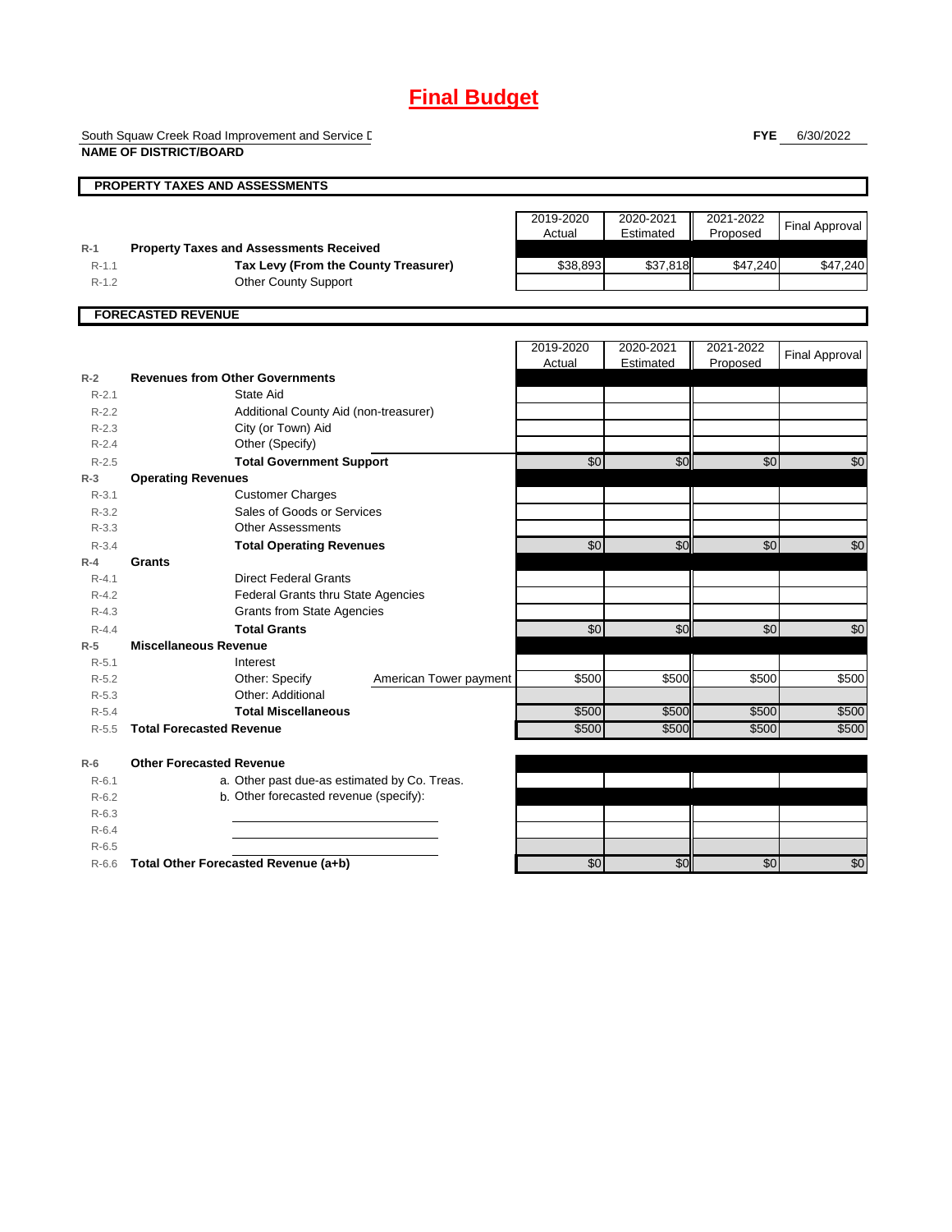# **Final Budget**

South Squaw Creek Road Improvement and Service L **NAME OF DISTRICT/BOARD**

**FYE** 6/30/2022

|           | <b>PROPERTY TAXES AND ASSESSMENTS</b>          |                 |           |           |                       |
|-----------|------------------------------------------------|-----------------|-----------|-----------|-----------------------|
|           |                                                |                 |           |           |                       |
|           |                                                | 2019-2020       | 2020-2021 | 2021-2022 |                       |
|           |                                                | Actual          | Estimated | Proposed  | <b>Final Approval</b> |
| $R-1$     | <b>Property Taxes and Assessments Received</b> |                 |           |           |                       |
| $R - 1.1$ | Tax Levy (From the County Treasurer)           | \$38,893        | \$37,818  | \$47,240  | \$47,240              |
| $R-1.2$   | <b>Other County Support</b>                    |                 |           |           |                       |
|           |                                                |                 |           |           |                       |
|           | <b>FORECASTED REVENUE</b>                      |                 |           |           |                       |
|           |                                                | 2019-2020       | 2020-2021 | 2021-2022 |                       |
|           |                                                | Actual          | Estimated | Proposed  | <b>Final Approval</b> |
| $R-2$     | <b>Revenues from Other Governments</b>         |                 |           |           |                       |
| $R - 2.1$ | State Aid                                      |                 |           |           |                       |
| $R-2.2$   | Additional County Aid (non-treasurer)          |                 |           |           |                       |
| $R - 2.3$ | City (or Town) Aid                             |                 |           |           |                       |
| $R - 2.4$ | Other (Specify)                                |                 |           |           |                       |
| $R-2.5$   | <b>Total Government Support</b>                | \$0             | \$0       | \$0       | \$0                   |
| $R-3$     | <b>Operating Revenues</b>                      |                 |           |           |                       |
| $R - 3.1$ | <b>Customer Charges</b>                        |                 |           |           |                       |
| $R-3.2$   | Sales of Goods or Services                     |                 |           |           |                       |
| $R - 3.3$ | <b>Other Assessments</b>                       |                 |           |           |                       |
| $R - 3.4$ | <b>Total Operating Revenues</b>                | $\overline{50}$ | \$0       | \$0       | \$0                   |
| $R-4$     | <b>Grants</b>                                  |                 |           |           |                       |
| $R - 4.1$ | <b>Direct Federal Grants</b>                   |                 |           |           |                       |
| $R - 4.2$ | <b>Federal Grants thru State Agencies</b>      |                 |           |           |                       |
| $R - 4.3$ | <b>Grants from State Agencies</b>              |                 |           |           |                       |
| $R - 4.4$ | <b>Total Grants</b>                            | \$0             | \$0       | \$0       | \$0                   |
| $R-5$     | <b>Miscellaneous Revenue</b>                   |                 |           |           |                       |
| $R - 5.1$ | Interest                                       |                 |           |           |                       |
| $R-5.2$   | Other: Specify<br>American Tower payment       | \$500           | \$500     | \$500     | \$500                 |
| $R-5.3$   | Other: Additional                              |                 |           |           |                       |
| $R - 5.4$ | <b>Total Miscellaneous</b>                     | \$500           | \$500     | \$500     | \$500                 |
| $R - 5.5$ | <b>Total Forecasted Revenue</b>                | \$500           | \$500     | \$500     | \$500                 |
| $R-6$     | <b>Other Forecasted Revenue</b>                |                 |           |           |                       |
| $R-6.1$   | a. Other past due-as estimated by Co. Treas.   |                 |           |           |                       |
| $R-6.2$   | b. Other forecasted revenue (specify):         |                 |           |           |                       |
| $R-6.3$   |                                                |                 |           |           |                       |
| $R-6.4$   |                                                |                 |           |           |                       |
| $R-6.5$   |                                                |                 |           |           |                       |

R-6.6 **Total Other Forecasted Revenue (a+b)** \$0 \$0 \$0 \$0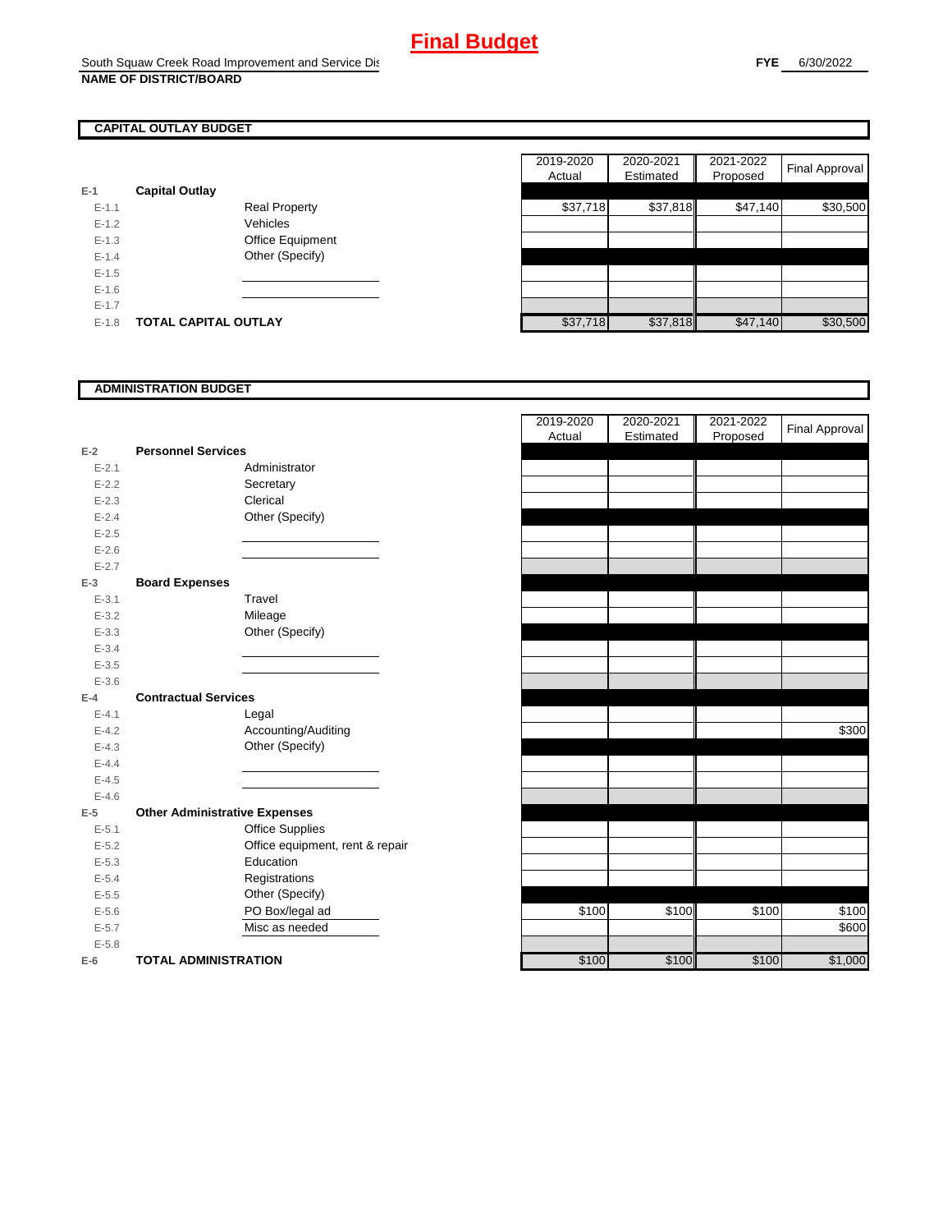### **CAPITAL OUTLAY BUDGET**

| E-1     | <b>Capital Outlay</b> |                         |
|---------|-----------------------|-------------------------|
| $F-11$  |                       | <b>Real Property</b>    |
| $F-12$  |                       | Vehicles                |
| $F-1.3$ |                       | <b>Office Equipment</b> |
| $F-14$  |                       | Other (Specify)         |
| $F-1.5$ |                       |                         |
| $F-16$  |                       |                         |
| $F-17$  |                       |                         |
| $F-1.8$ | TOTAL CAPITAL OUTLAY  |                         |

|           |                             |                      |  | 2019-2020 | 2020-2021 | 2021-2022 | Final Approval |
|-----------|-----------------------------|----------------------|--|-----------|-----------|-----------|----------------|
|           |                             |                      |  | Actual    | Estimated | Proposed  |                |
|           | <b>Capital Outlay</b>       |                      |  |           |           |           |                |
| $E - 1.1$ |                             | <b>Real Property</b> |  | \$37,718  | \$37,818  | \$47,140  | \$30,500       |
| $E - 1.2$ |                             | Vehicles             |  |           |           |           |                |
| $E-1.3$   |                             | Office Equipment     |  |           |           |           |                |
| $E - 1.4$ |                             | Other (Specify)      |  |           |           |           |                |
| $E-1.5$   |                             |                      |  |           |           |           |                |
| $E-1.6$   |                             |                      |  |           |           |           |                |
| $E - 1.7$ |                             |                      |  |           |           |           |                |
| $E-1.8$   | <b>TOTAL CAPITAL OUTLAY</b> |                      |  | \$37,718  | \$37,818  | \$47,140  | \$30,500       |

### **ADMINISTRATION BUDGET**

| $E-2$     | <b>Personnel Services</b>            |                                 |
|-----------|--------------------------------------|---------------------------------|
| $E - 2.1$ |                                      | Administrator                   |
| $E - 2.2$ |                                      | Secretary                       |
| $E - 2.3$ |                                      | Clerical                        |
| $E - 2.4$ |                                      | Other (Specify)                 |
| $E - 2.5$ |                                      |                                 |
| $E - 2.6$ |                                      |                                 |
| $E - 2.7$ |                                      |                                 |
| E-3       | <b>Board Expenses</b>                |                                 |
| $E - 3.1$ |                                      | Travel                          |
| $E - 3.2$ |                                      | Mileage                         |
| $E - 3.3$ |                                      | Other (Specify)                 |
| $E - 3.4$ |                                      |                                 |
| $E - 3.5$ |                                      |                                 |
| $E - 3.6$ |                                      |                                 |
| F-4       | <b>Contractual Services</b>          |                                 |
| $E - 4.1$ |                                      | Legal                           |
| $E-4.2$   |                                      | Accounting/Auditing             |
| $E - 4.3$ |                                      | Other (Specify)                 |
| $E - 4.4$ |                                      |                                 |
| $E - 4.5$ |                                      |                                 |
| $E - 4.6$ |                                      |                                 |
| E-5       | <b>Other Administrative Expenses</b> |                                 |
| $E - 5.1$ |                                      | <b>Office Supplies</b>          |
| $E - 5.2$ |                                      | Office equipment, rent & repair |
| $E - 5.3$ |                                      | Education                       |
| $E - 5.4$ |                                      | Registrations                   |
| $E - 5.5$ |                                      | Other (Specify)                 |
| $E - 5.6$ |                                      | PO Box/legal ad                 |
| $E - 5.7$ |                                      | Misc as needed                  |
| $E - 5.8$ |                                      |                                 |
| E-6       | <b>TOTAL ADMINISTRATION</b>          |                                 |

|                          |                                      |                                 | 2019-2020 | 2020-2021 | 2021-2022 | <b>Final Approval</b> |
|--------------------------|--------------------------------------|---------------------------------|-----------|-----------|-----------|-----------------------|
| Ż                        | <b>Personnel Services</b>            |                                 | Actual    | Estimated | Proposed  |                       |
| $E - 2.1$                |                                      | Administrator                   |           |           |           |                       |
| $E - 2.2$                |                                      | Secretary                       |           |           |           |                       |
| $E - 2.3$                |                                      | Clerical                        |           |           |           |                       |
| $E - 2.4$                |                                      | Other (Specify)                 |           |           |           |                       |
| $E - 2.5$                |                                      |                                 |           |           |           |                       |
| $E - 2.6$                |                                      |                                 |           |           |           |                       |
| $E - 2.7$                |                                      |                                 |           |           |           |                       |
| $\overline{\phantom{0}}$ | <b>Board Expenses</b>                |                                 |           |           |           |                       |
| $E - 3.1$                |                                      | Travel                          |           |           |           |                       |
| $E - 3.2$                |                                      | Mileage                         |           |           |           |                       |
| $E - 3.3$                |                                      | Other (Specify)                 |           |           |           |                       |
| $E - 3.4$                |                                      |                                 |           |           |           |                       |
| $E - 3.5$                |                                      |                                 |           |           |           |                       |
| $E - 3.6$                |                                      |                                 |           |           |           |                       |
| Ļ.                       | <b>Contractual Services</b>          |                                 |           |           |           |                       |
| $E - 4.1$                |                                      | Legal                           |           |           |           |                       |
| $E - 4.2$                |                                      | Accounting/Auditing             |           |           |           | \$300                 |
| $E - 4.3$                |                                      | Other (Specify)                 |           |           |           |                       |
| $E - 4.4$                |                                      |                                 |           |           |           |                       |
| $E - 4.5$                |                                      |                                 |           |           |           |                       |
| $E - 4.6$                |                                      |                                 |           |           |           |                       |
| $\overline{\phantom{a}}$ | <b>Other Administrative Expenses</b> |                                 |           |           |           |                       |
| $E - 5.1$                |                                      | <b>Office Supplies</b>          |           |           |           |                       |
| $E - 5.2$                |                                      | Office equipment, rent & repair |           |           |           |                       |
| $E - 5.3$                |                                      | Education                       |           |           |           |                       |
| $E - 5.4$                |                                      | Registrations                   |           |           |           |                       |
| $E - 5.5$                |                                      | Other (Specify)                 |           |           |           |                       |
| $E - 5.6$                |                                      | PO Box/legal ad                 | \$100     | \$100     | \$100     | \$100                 |
| $E - 5.7$                |                                      | Misc as needed                  |           |           |           | \$600                 |
| $E - 5.8$                |                                      |                                 |           |           |           |                       |
| ì                        | <b>TOTAL ADMINISTRATION</b>          |                                 | \$100     | \$100     | \$100     | \$1,000               |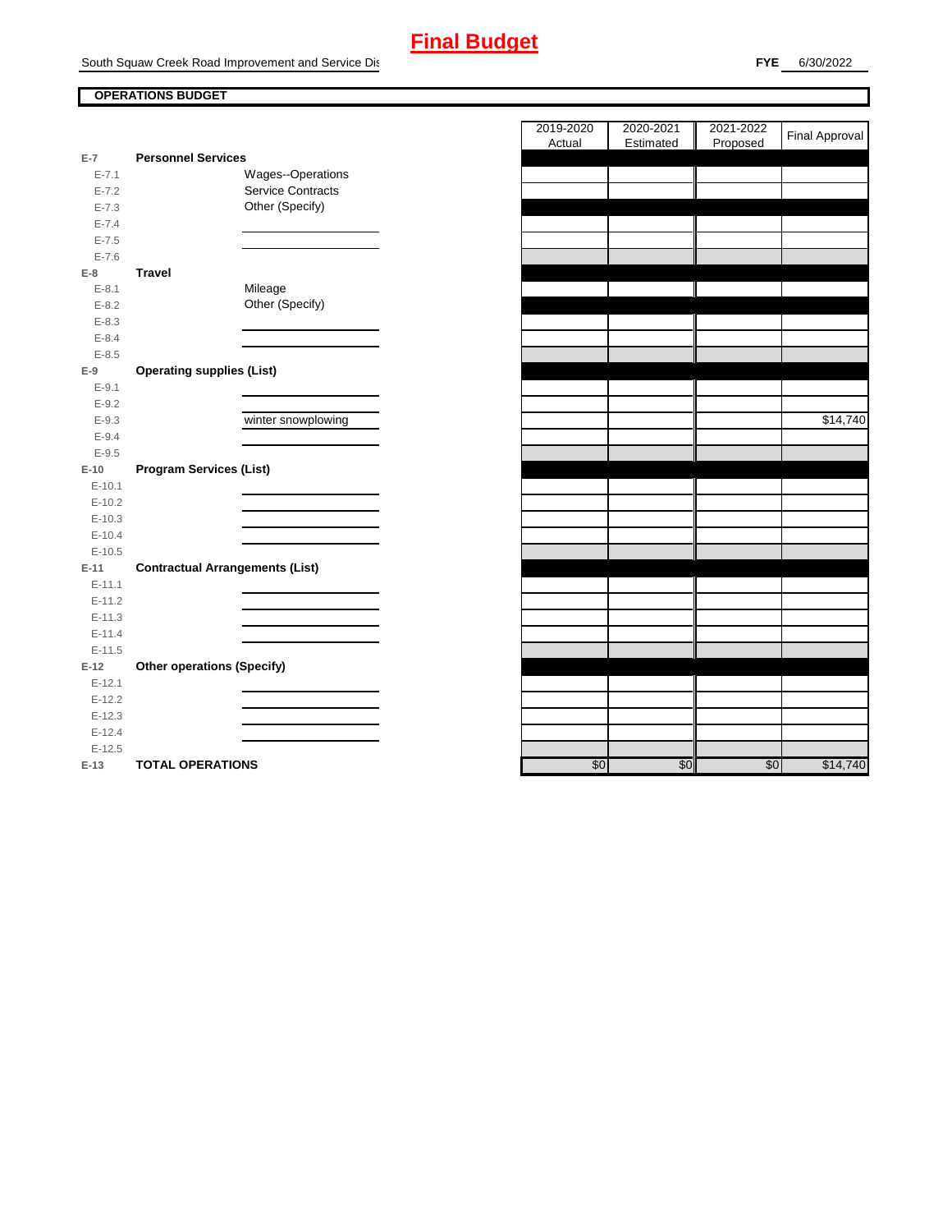# **Final Budget**

South Squaw Creek Road Improvement and Service Dist

**FYE** 6/30/2022

### **OPERATIONS BUDGET**

| E-7        | <b>Personnel Services</b>              |                          |
|------------|----------------------------------------|--------------------------|
| $E - 7.1$  |                                        | Wages--Operations        |
| $E - 7.2$  |                                        | <b>Service Contracts</b> |
| $E - 7.3$  |                                        | Other (Specify)          |
| $E - 7.4$  |                                        |                          |
| $E - 7.5$  |                                        |                          |
| $E - 7.6$  |                                        |                          |
| $E-8$      | Travel                                 |                          |
| $E-8.1$    |                                        | Mileage                  |
| $E - 8.2$  |                                        | Other (Specify)          |
| $E - 8.3$  |                                        |                          |
| $E - 8.4$  |                                        |                          |
| $E - 8.5$  |                                        |                          |
| $E-9$      | <b>Operating supplies (List)</b>       |                          |
| $E-9.1$    |                                        |                          |
| $E - 9.2$  |                                        |                          |
| $E - 9.3$  |                                        | winter snowplowing       |
| $E - 9.4$  |                                        |                          |
| $E - 9.5$  |                                        |                          |
| $E-10$     | <b>Program Services (List)</b>         |                          |
| $E-10.1$   |                                        |                          |
| $E-10.2$   |                                        |                          |
| $E-10.3$   |                                        |                          |
| $E-10.4$   |                                        |                          |
| $E-10.5$   |                                        |                          |
| $E-11$     | <b>Contractual Arrangements (List)</b> |                          |
| $E - 11.1$ |                                        |                          |
| $E - 11.2$ |                                        |                          |
| $E-11.3$   |                                        |                          |
| $E - 11.4$ |                                        |                          |
| $E-11.5$   |                                        |                          |
| $E-12$     | <b>Other operations (Specify)</b>      |                          |
| $E-12.1$   |                                        |                          |
| $E-12.2$   |                                        |                          |
| $E-12.3$   |                                        |                          |
| $E-12.4$   |                                        |                          |
| $E-12.5$   |                                        |                          |
| $E-13$     | <b>TOTAL OPERATIONS</b>                |                          |

|           |                                        |                    | 2019-2020 | 2020-2021 | 2021-2022 | <b>Final Approval</b> |
|-----------|----------------------------------------|--------------------|-----------|-----------|-----------|-----------------------|
| $E-7$     | <b>Personnel Services</b>              |                    | Actual    | Estimated | Proposed  |                       |
| $E - 7.1$ |                                        | Wages--Operations  |           |           |           |                       |
| $E - 7.2$ |                                        | Service Contracts  |           |           |           |                       |
| $E - 7.3$ |                                        | Other (Specify)    |           |           |           |                       |
| $E - 7.4$ |                                        |                    |           |           |           |                       |
| $E - 7.5$ |                                        |                    |           |           |           |                       |
| $E - 7.6$ |                                        |                    |           |           |           |                       |
| E-8       | <b>Travel</b>                          |                    |           |           |           |                       |
| $E-8.1$   |                                        | Mileage            |           |           |           |                       |
| $E - 8.2$ |                                        | Other (Specify)    |           |           |           |                       |
| $E - 8.3$ |                                        |                    |           |           |           |                       |
| $E-8.4$   |                                        |                    |           |           |           |                       |
| $E - 8.5$ |                                        |                    |           |           |           |                       |
| $E-9$     | <b>Operating supplies (List)</b>       |                    |           |           |           |                       |
| $E-9.1$   |                                        |                    |           |           |           |                       |
| $E - 9.2$ |                                        |                    |           |           |           |                       |
| $E-9.3$   |                                        | winter snowplowing |           |           |           | \$14,740              |
| $E - 9.4$ |                                        |                    |           |           |           |                       |
| $E-9.5$   |                                        |                    |           |           |           |                       |
| E-10      | <b>Program Services (List)</b>         |                    |           |           |           |                       |
| $E-10.1$  |                                        |                    |           |           |           |                       |
| $E-10.2$  |                                        |                    |           |           |           |                       |
| $E-10.3$  |                                        |                    |           |           |           |                       |
| $E-10.4$  |                                        |                    |           |           |           |                       |
| $E-10.5$  |                                        |                    |           |           |           |                       |
| E-11      | <b>Contractual Arrangements (List)</b> |                    |           |           |           |                       |
| $E-11.1$  |                                        |                    |           |           |           |                       |
| $E-11.2$  |                                        |                    |           |           |           |                       |
| $E-11.3$  |                                        |                    |           |           |           |                       |
| $E-11.4$  |                                        |                    |           |           |           |                       |
| $E-11.5$  |                                        |                    |           |           |           |                       |
| $E-12$    | <b>Other operations (Specify)</b>      |                    |           |           |           |                       |
| $E-12.1$  |                                        |                    |           |           |           |                       |
| $E-12.2$  |                                        |                    |           |           |           |                       |
| $E-12.3$  |                                        |                    |           |           |           |                       |
| $E-12.4$  |                                        |                    |           |           |           |                       |
| $E-12.5$  |                                        |                    |           |           |           |                       |
| $E-13$    | <b>TOTAL OPERATIONS</b>                |                    | \$0       | \$0       | \$0       | \$14,740              |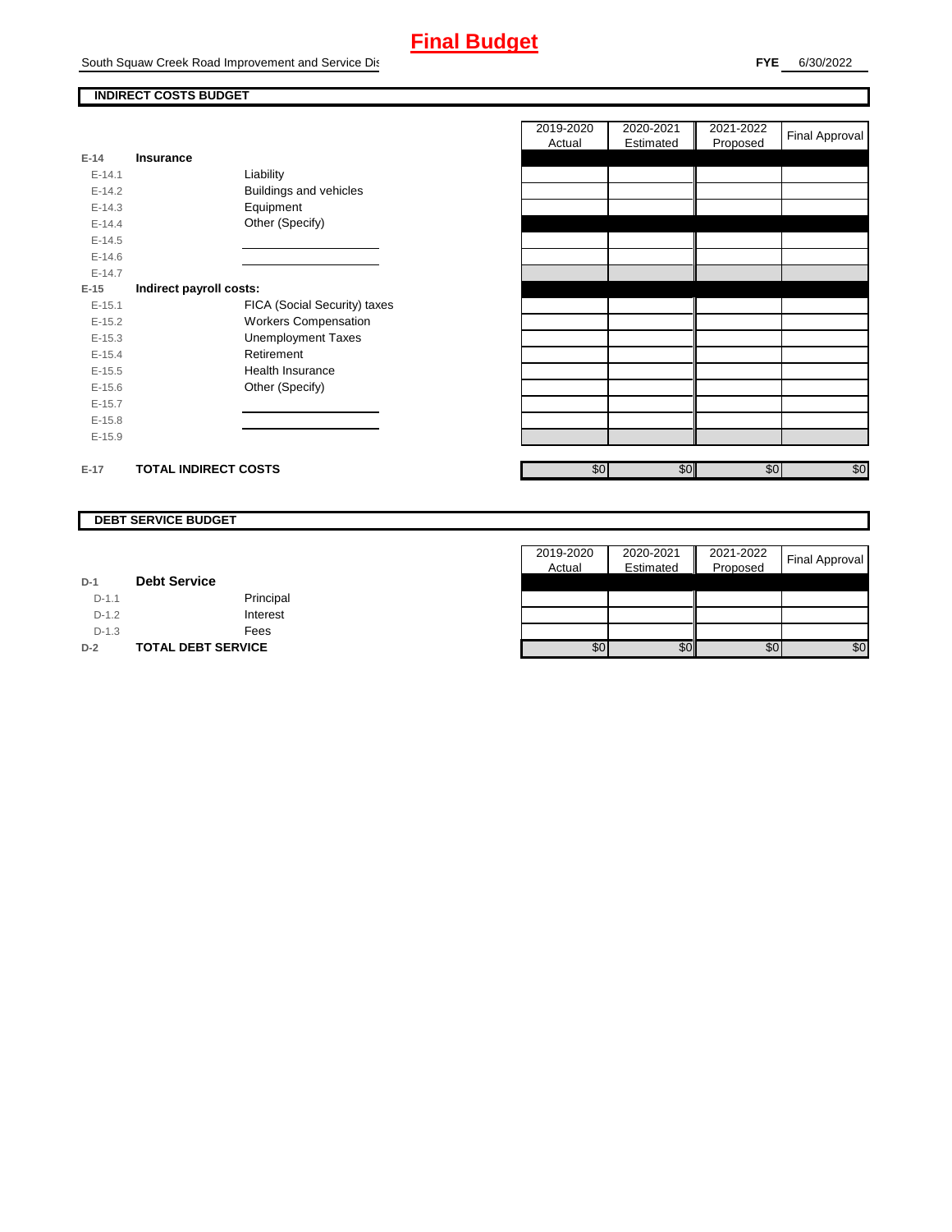## **Final Budget**

South Squaw Creek Road Improvement and Service Dist

E-14.2 **Buildings and vehicles**<br>E-14.3 **Equipment** 

E-15.1 **FICA (Social Security) taxes** E-15.2 Workers Compensation E-15.3 Unemployment Taxes

E-14.3 Equipment<br>E-14.4 Other (Spec

E-15.4 Retirement E-15.5 Health Insurance

**E-15 Indirect payroll costs:**

Liability

Other (Specify)

Other (Specify)

┑

### **INDIRECT COSTS BUDGET**

**E-14 Insurance**

E-14.5 E-14.6 E-14.7

E-15.6 E-15.7 E-15.8 E-15.9

|                   | 2019-2020<br>Actual | 2020-2021<br>Estimated | 2021-2022<br>Proposed | Final Approval |
|-------------------|---------------------|------------------------|-----------------------|----------------|
|                   |                     |                        |                       |                |
|                   |                     |                        |                       |                |
|                   |                     |                        |                       |                |
|                   |                     |                        |                       |                |
|                   |                     |                        |                       |                |
|                   |                     |                        |                       |                |
|                   |                     |                        |                       |                |
|                   |                     |                        |                       |                |
|                   |                     |                        |                       |                |
|                   |                     |                        |                       |                |
|                   |                     |                        |                       |                |
|                   |                     |                        |                       |                |
|                   |                     |                        |                       |                |
|                   |                     |                        |                       |                |
|                   |                     |                        |                       |                |
|                   |                     |                        |                       |                |
|                   |                     |                        |                       |                |
|                   |                     |                        |                       |                |
| \$0<br>\$0<br>\$0 |                     | \$0                    |                       |                |

### **DEBT SERVICE BUDGET**

**E-17 TOTAL INDIRECT COSTS** 

|         |                           | 2019-2020 | 2020-2021 | 2021-2022 | <b>Final Approval</b> |
|---------|---------------------------|-----------|-----------|-----------|-----------------------|
|         |                           | Actual    | Estimated | Proposed  |                       |
| $D-1$   | <b>Debt Service</b>       |           |           |           |                       |
| $D-1.1$ | Principal                 |           |           |           |                       |
| $D-1.2$ | Interest                  |           |           |           |                       |
| $D-1.3$ | Fees                      |           |           |           |                       |
| $D-2$   | <b>TOTAL DEBT SERVICE</b> | \$0       | \$0       | \$0       | \$0                   |